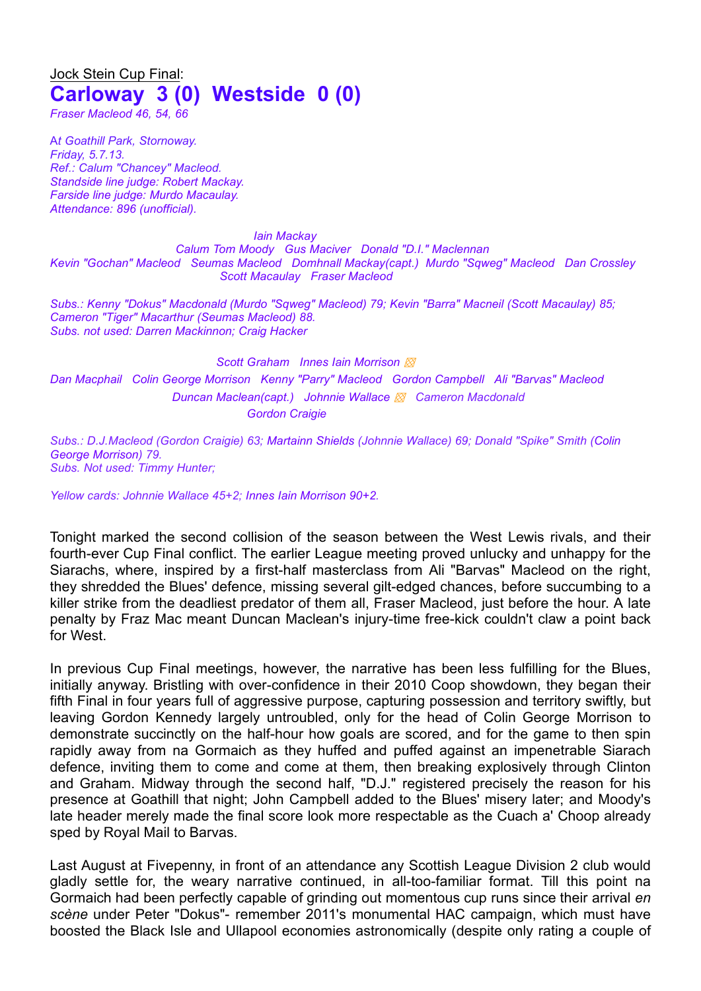## Jock Stein Cup Final: **Carloway 3 (0) Westside 0 (0)**

*Fraser Macleod 46, 54, 66*

A*t Goathill Park, Stornoway. Friday, 5.7.13. Ref.: Calum "Chancey" Macleod. Standside line judge: Robert Mackay. Farside line judge: Murdo Macaulay. Attendance: 896 (unofficial).*

*Iain Mackay Calum Tom Moody Gus Maciver Donald "D.I." Maclennan Kevin "Gochan" Macleod Seumas Macleod Domhnall Mackay(capt.) Murdo "Sqweg" Macleod Dan Crossley Scott Macaulay Fraser Macleod*

*Subs.: Kenny "Dokus" Macdonald (Murdo "Sqweg" Macleod) 79; Kevin "Barra" Macneil (Scott Macaulay) 85; Cameron "Tiger" Macarthur (Seumas Macleod) 88. Subs. not used: Darren Mackinnon; Craig Hacker*

*Scott Graham Innes Iain Morrison ▩ Dan Macphail Colin George Morrison Kenny "Parry" Macleod Gordon Campbell Ali "Barvas" Macleod Duncan Maclean(capt.) Johnnie Wallace ▩ Cameron Macdonald Gordon Craigie*

*Subs.: D.J.Macleod (Gordon Craigie) 63; Martainn Shields (Johnnie Wallace) 69; Donald "Spike" Smith (Colin George Morrison) 79. Subs. Not used: Timmy Hunter;*

*Yellow cards: Johnnie Wallace 45+2; Innes Iain Morrison 90+2.*

Tonight marked the second collision of the season between the West Lewis rivals, and their fourth-ever Cup Final conflict. The earlier League meeting proved unlucky and unhappy for the Siarachs, where, inspired by a first-half masterclass from Ali "Barvas" Macleod on the right, they shredded the Blues' defence, missing several gilt-edged chances, before succumbing to a killer strike from the deadliest predator of them all, Fraser Macleod, just before the hour. A late penalty by Fraz Mac meant Duncan Maclean's injury-time free-kick couldn't claw a point back for West.

In previous Cup Final meetings, however, the narrative has been less fulfilling for the Blues, initially anyway. Bristling with over-confidence in their 2010 Coop showdown, they began their fifth Final in four years full of aggressive purpose, capturing possession and territory swiftly, but leaving Gordon Kennedy largely untroubled, only for the head of Colin George Morrison to demonstrate succinctly on the half-hour how goals are scored, and for the game to then spin rapidly away from na Gormaich as they huffed and puffed against an impenetrable Siarach defence, inviting them to come and come at them, then breaking explosively through Clinton and Graham. Midway through the second half, "D.J." registered precisely the reason for his presence at Goathill that night; John Campbell added to the Blues' misery later; and Moody's late header merely made the final score look more respectable as the Cuach a' Choop already sped by Royal Mail to Barvas.

Last August at Fivepenny, in front of an attendance any Scottish League Division 2 club would gladly settle for, the weary narrative continued, in all-too-familiar format. Till this point na Gormaich had been perfectly capable of grinding out momentous cup runs since their arrival *en scène* under Peter "Dokus"- remember 2011's monumental HAC campaign, which must have boosted the Black Isle and Ullapool economies astronomically (despite only rating a couple of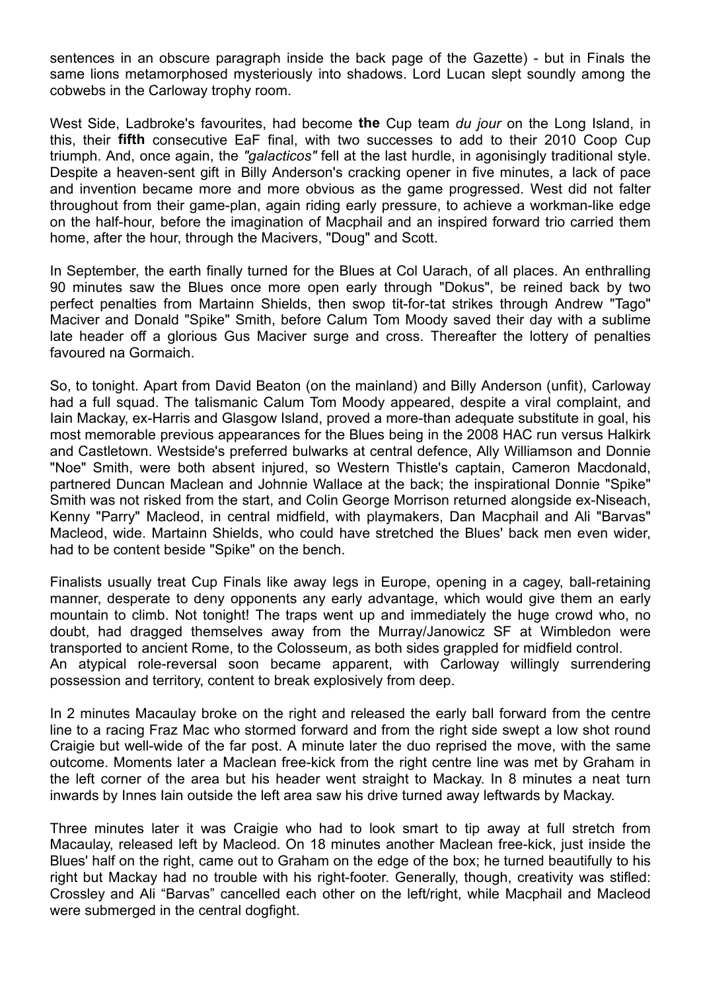sentences in an obscure paragraph inside the back page of the Gazette) - but in Finals the same lions metamorphosed mysteriously into shadows. Lord Lucan slept soundly among the cobwebs in the Carloway trophy room.

West Side, Ladbroke's favourites, had become **the** Cup team *du jour* on the Long Island, in this, their **fifth** consecutive EaF final, with two successes to add to their 2010 Coop Cup triumph. And, once again, the *"galacticos"* fell at the last hurdle, in agonisingly traditional style. Despite a heaven-sent gift in Billy Anderson's cracking opener in five minutes, a lack of pace and invention became more and more obvious as the game progressed. West did not falter throughout from their game-plan, again riding early pressure, to achieve a workman-like edge on the half-hour, before the imagination of Macphail and an inspired forward trio carried them home, after the hour, through the Macivers, "Doug" and Scott.

In September, the earth finally turned for the Blues at Col Uarach, of all places. An enthralling 90 minutes saw the Blues once more open early through "Dokus", be reined back by two perfect penalties from Martainn Shields, then swop tit-for-tat strikes through Andrew "Tago" Maciver and Donald "Spike" Smith, before Calum Tom Moody saved their day with a sublime late header off a glorious Gus Maciver surge and cross. Thereafter the lottery of penalties favoured na Gormaich.

So, to tonight. Apart from David Beaton (on the mainland) and Billy Anderson (unfit), Carloway had a full squad. The talismanic Calum Tom Moody appeared, despite a viral complaint, and Iain Mackay, ex-Harris and Glasgow Island, proved a more-than adequate substitute in goal, his most memorable previous appearances for the Blues being in the 2008 HAC run versus Halkirk and Castletown. Westside's preferred bulwarks at central defence, Ally Williamson and Donnie "Noe" Smith, were both absent injured, so Western Thistle's captain, Cameron Macdonald, partnered Duncan Maclean and Johnnie Wallace at the back; the inspirational Donnie "Spike" Smith was not risked from the start, and Colin George Morrison returned alongside ex-Niseach, Kenny "Parry" Macleod, in central midfield, with playmakers, Dan Macphail and Ali "Barvas" Macleod, wide. Martainn Shields, who could have stretched the Blues' back men even wider, had to be content beside "Spike" on the bench.

Finalists usually treat Cup Finals like away legs in Europe, opening in a cagey, ball-retaining manner, desperate to deny opponents any early advantage, which would give them an early mountain to climb. Not tonight! The traps went up and immediately the huge crowd who, no doubt, had dragged themselves away from the Murray/Janowicz SF at Wimbledon were transported to ancient Rome, to the Colosseum, as both sides grappled for midfield control. An atypical role-reversal soon became apparent, with Carloway willingly surrendering possession and territory, content to break explosively from deep.

In 2 minutes Macaulay broke on the right and released the early ball forward from the centre line to a racing Fraz Mac who stormed forward and from the right side swept a low shot round Craigie but well-wide of the far post. A minute later the duo reprised the move, with the same outcome. Moments later a Maclean free-kick from the right centre line was met by Graham in the left corner of the area but his header went straight to Mackay. In 8 minutes a neat turn inwards by Innes Iain outside the left area saw his drive turned away leftwards by Mackay.

Three minutes later it was Craigie who had to look smart to tip away at full stretch from Macaulay, released left by Macleod. On 18 minutes another Maclean free-kick, just inside the Blues' half on the right, came out to Graham on the edge of the box; he turned beautifully to his right but Mackay had no trouble with his right-footer. Generally, though, creativity was stifled: Crossley and Ali "Barvas" cancelled each other on the left/right, while Macphail and Macleod were submerged in the central dogfight.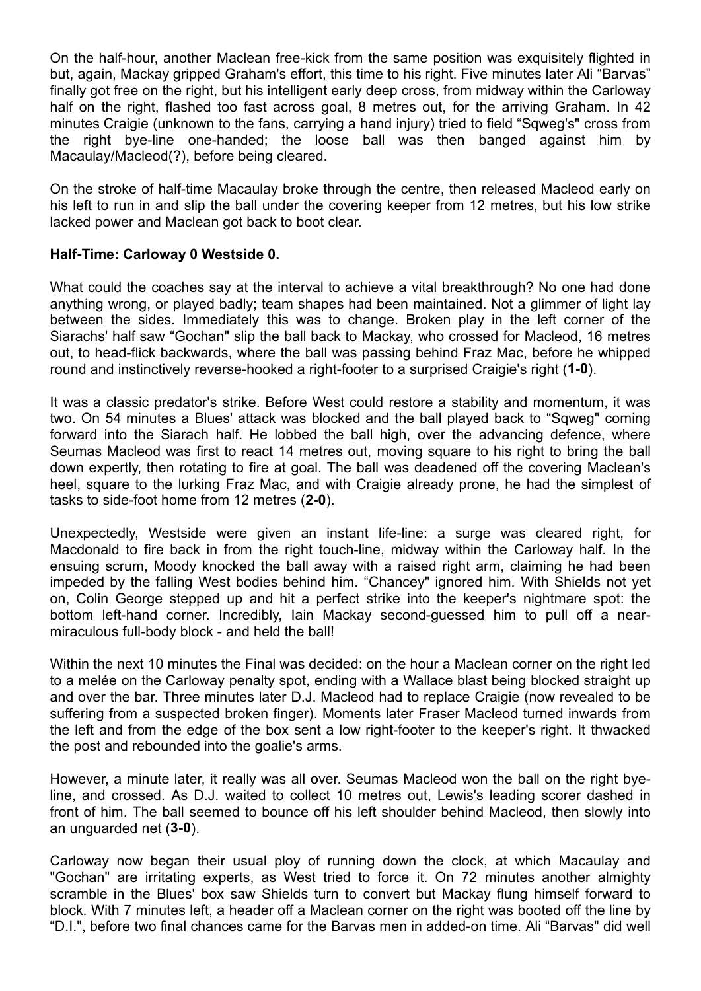On the half-hour, another Maclean free-kick from the same position was exquisitely flighted in but, again, Mackay gripped Graham's effort, this time to his right. Five minutes later Ali "Barvas" finally got free on the right, but his intelligent early deep cross, from midway within the Carloway half on the right, flashed too fast across goal, 8 metres out, for the arriving Graham. In 42 minutes Craigie (unknown to the fans, carrying a hand injury) tried to field "Sqweg's" cross from the right bye-line one-handed; the loose ball was then banged against him by Macaulay/Macleod(?), before being cleared.

On the stroke of half-time Macaulay broke through the centre, then released Macleod early on his left to run in and slip the ball under the covering keeper from 12 metres, but his low strike lacked power and Maclean got back to boot clear.

## **Half-Time: Carloway 0 Westside 0.**

What could the coaches say at the interval to achieve a vital breakthrough? No one had done anything wrong, or played badly; team shapes had been maintained. Not a glimmer of light lay between the sides. Immediately this was to change. Broken play in the left corner of the Siarachs' half saw "Gochan" slip the ball back to Mackay, who crossed for Macleod, 16 metres out, to head-flick backwards, where the ball was passing behind Fraz Mac, before he whipped round and instinctively reverse-hooked a right-footer to a surprised Craigie's right (**1-0**).

It was a classic predator's strike. Before West could restore a stability and momentum, it was two. On 54 minutes a Blues' attack was blocked and the ball played back to "Sqweg" coming forward into the Siarach half. He lobbed the ball high, over the advancing defence, where Seumas Macleod was first to react 14 metres out, moving square to his right to bring the ball down expertly, then rotating to fire at goal. The ball was deadened off the covering Maclean's heel, square to the lurking Fraz Mac, and with Craigie already prone, he had the simplest of tasks to side-foot home from 12 metres (**2-0**).

Unexpectedly, Westside were given an instant life-line: a surge was cleared right, for Macdonald to fire back in from the right touch-line, midway within the Carloway half. In the ensuing scrum, Moody knocked the ball away with a raised right arm, claiming he had been impeded by the falling West bodies behind him. "Chancey" ignored him. With Shields not yet on, Colin George stepped up and hit a perfect strike into the keeper's nightmare spot: the bottom left-hand corner. Incredibly, Iain Mackay second-guessed him to pull off a nearmiraculous full-body block - and held the ball!

Within the next 10 minutes the Final was decided: on the hour a Maclean corner on the right led to a melée on the Carloway penalty spot, ending with a Wallace blast being blocked straight up and over the bar. Three minutes later D.J. Macleod had to replace Craigie (now revealed to be suffering from a suspected broken finger). Moments later Fraser Macleod turned inwards from the left and from the edge of the box sent a low right-footer to the keeper's right. It thwacked the post and rebounded into the goalie's arms.

However, a minute later, it really was all over. Seumas Macleod won the ball on the right byeline, and crossed. As D.J. waited to collect 10 metres out, Lewis's leading scorer dashed in front of him. The ball seemed to bounce off his left shoulder behind Macleod, then slowly into an unguarded net (**3-0**).

Carloway now began their usual ploy of running down the clock, at which Macaulay and "Gochan" are irritating experts, as West tried to force it. On 72 minutes another almighty scramble in the Blues' box saw Shields turn to convert but Mackay flung himself forward to block. With 7 minutes left, a header off a Maclean corner on the right was booted off the line by "D.I.", before two final chances came for the Barvas men in added-on time. Ali "Barvas" did well